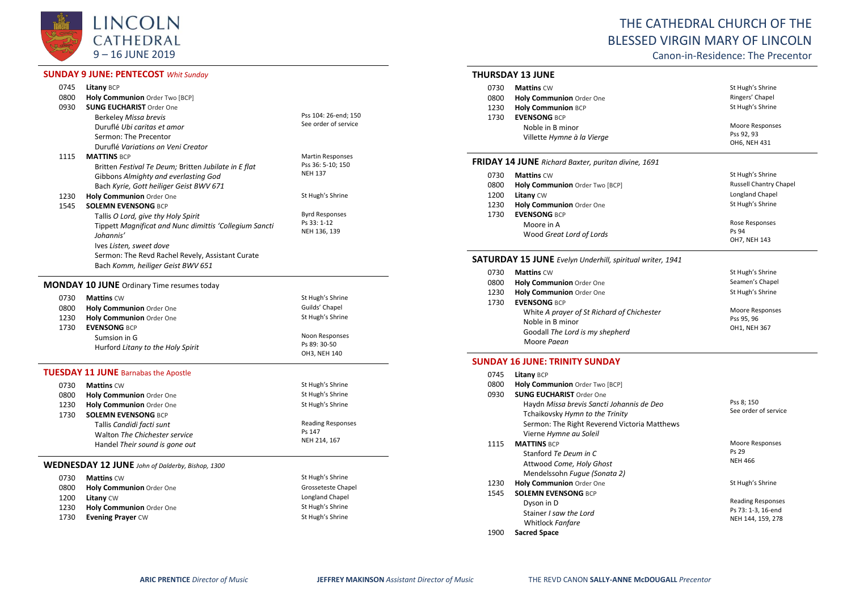

## **SUNDAY 9 JUNE: PENTECOST** *Whit Sunday*

| 0745 | Litany BCP                                             |                             |
|------|--------------------------------------------------------|-----------------------------|
| 0800 | Holy Communion Order Two [BCP]                         |                             |
| 0930 | <b>SUNG EUCHARIST Order One</b>                        |                             |
|      | Berkeley Missa brevis                                  | Pss 104: 26-end; 150        |
|      | Duruflé Ubi caritas et amor                            | See order of service        |
|      | Sermon: The Precentor                                  |                             |
|      | Duruflé Variations on Veni Creator                     |                             |
| 1115 | <b>MATTINS BCP</b>                                     | <b>Martin Responses</b>     |
|      | Britten Festival Te Deum; Britten Jubilate in E flat   | Pss 36: 5-10; 150           |
|      | Gibbons Almighty and everlasting God                   | <b>NEH 137</b>              |
|      | Bach Kyrie, Gott heiliger Geist BWV 671                |                             |
| 1230 | Holy Communion Order One                               | St Hugh's Shrine            |
| 1545 | <b>SOLEMN EVENSONG BCP</b>                             |                             |
|      | Tallis O Lord, give thy Holy Spirit                    | <b>Byrd Responses</b>       |
|      | Tippett Magnificat and Nunc dimittis 'Collegium Sancti | Ps 33: 1-12<br>NEH 136, 139 |
|      | Johannis'                                              |                             |
|      | Ives Listen, sweet dove                                |                             |
|      | Sermon: The Revd Rachel Revely, Assistant Curate       |                             |
|      | Bach Komm, heiliger Geist BWV 651                      |                             |
|      | <b>MONDAY 10 JUNE</b> Ordinary Time resumes today      |                             |
| 0730 | <b>Mattins CW</b>                                      | St Hugh's Shrine            |
| 0800 | Holy Communion Order One                               | Guilds' Chapel              |
| 1230 | Holy Communion Order One                               | St Hugh's Shrine            |
| 1730 | <b>EVENSONG BCP</b>                                    |                             |
|      | Sumsion in G                                           | Noon Responses              |
|      | Hurford Litany to the Holy Spirit                      | Ps 89: 30-50                |
|      |                                                        | OH3, NEH 140                |
|      | <b>TUESDAY 11 JUNE Barnabas the Apostle</b>            |                             |
| 0730 | <b>Mattins CW</b>                                      | St Hugh's Shrine            |
| 0800 | Holy Communion Order One                               | St Hugh's Shrine            |
| 1230 | Holy Communion Order One                               | St Hugh's Shrine            |
| 1730 | <b>SOLEMN EVENSONG BCP</b>                             |                             |
|      | Tallis Candidi facti sunt                              | <b>Reading Responses</b>    |
|      | Walton The Chichester service                          | Ps 147                      |
|      | Handel Their sound is gone out                         | NEH 214, 167                |
|      |                                                        |                             |

## **WEDNESDAY 12 JUNE** *John of Dalderby, Bishop, 1300*

| 0730 | <b>Mattins CW</b>        | St Hugh's Shrine   |
|------|--------------------------|--------------------|
| 0800 | Holy Communion Order One | Grosseteste Chapel |
| 1200 | <b>Litany CW</b>         | Longland Chapel    |
| 1230 | Holy Communion Order One | St Hugh's Shrine   |
| 1730 | <b>Evening Prayer CW</b> | St Hugh's Shrine   |

# THE CATHEDRAL CHURCH OF THE BLESSED VIRGIN MARY OF LINCOLN

Canon-in-Residence: The Precentor

#### **THURSDAY 13 JUNE**

| 0730 | <b>Mattins CW</b>          | St Hugh's Shrine |
|------|----------------------------|------------------|
| 0800 | Holy Communion Order One   | Ringers' Chapel  |
| 1230 | <b>Holy Communion BCP</b>  | St Hugh's Shrine |
| 1730 | <b>EVENSONG BCP</b>        |                  |
|      | Noble in B minor           | Moore Responses  |
|      | Villette Hymne à la Vierge | Pss 92, 93       |
|      |                            | OH6, NEH 431     |

## **FRIDAY 14 JUNE** *Richard Baxter, puritan divine, 1691*

| 0730 | <b>Mattins CW</b>              | St Hugh's Shrine              |
|------|--------------------------------|-------------------------------|
| 0800 | Holy Communion Order Two [BCP] | <b>Russell Chantry Chapel</b> |
| 1200 | <b>Litany CW</b>               | Longland Chapel               |
| 1230 | Holy Communion Order One       | St Hugh's Shrine              |
| 1730 | <b>EVENSONG BCP</b>            |                               |
|      | Moore in A                     | Rose Responses                |
|      | Wood Great Lord of Lords       | Ps 94                         |
|      |                                | OH7, NEH 143                  |

## **SATURDAY 15 JUNE** *Evelyn Underhill, spiritual writer, 1941*

| 0730 | <b>Mattins CW</b>                                                                                                | St Hugh's Shrine                              |
|------|------------------------------------------------------------------------------------------------------------------|-----------------------------------------------|
| 0800 | <b>Holy Communion Order One</b>                                                                                  | Seamen's Chapel                               |
| 1230 | Holy Communion Order One                                                                                         | St Hugh's Shrine                              |
| 1730 | <b>EVENSONG BCP</b>                                                                                              |                                               |
|      | White A prayer of St Richard of Chichester<br>Noble in B minor<br>Goodall The Lord is my shepherd<br>Moore Paean | Moore Responses<br>Pss 95, 96<br>OH1, NEH 367 |

## **SUNDAY 16 JUNE: TRINITY SUNDAY**

| 0745 | Litany BCP                                   |                          |
|------|----------------------------------------------|--------------------------|
| 0800 | Holy Communion Order Two [BCP]               |                          |
| 0930 | <b>SUNG EUCHARIST Order One</b>              |                          |
|      | Haydn Missa brevis Sancti Johannis de Deo    | Pss 8; 150               |
|      | Tchaikovsky Hymn to the Trinity              | See order of service     |
|      | Sermon: The Right Reverend Victoria Matthews |                          |
|      | Vierne Hymne au Soleil                       |                          |
| 1115 | <b>MATTINS BCP</b>                           | Moore Responses          |
|      | Stanford Te Deum in C                        | Ps 29                    |
|      | Attwood Come, Holy Ghost                     | <b>NEH 466</b>           |
|      | Mendelssohn Fugue (Sonata 2)                 |                          |
| 1230 | <b>Holy Communion Order One</b>              | St Hugh's Shrine         |
| 1545 | <b>SOLEMN EVENSONG BCP</b>                   |                          |
|      | Dyson in D                                   | <b>Reading Responses</b> |
|      | Stainer <i>I saw the Lord</i>                | Ps 73: 1-3, 16-end       |
|      | Whitlock Fanfare                             | NEH 144, 159, 278        |
| 1900 | <b>Sacred Space</b>                          |                          |